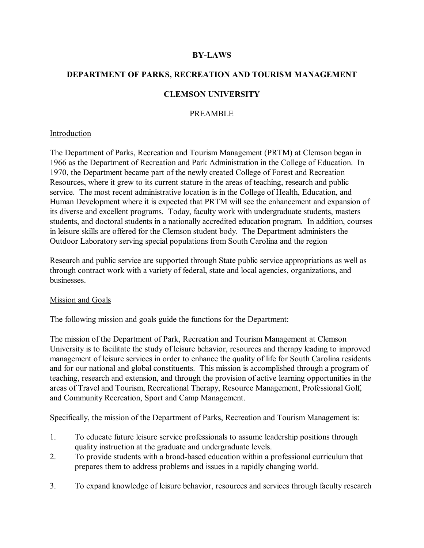### **BY-LAWS**

### **DEPARTMENT OF PARKS, RECREATION AND TOURISM MANAGEMENT**

### **CLEMSON UNIVERSITY**

### PREAMBLE

### Introduction

The Department of Parks, Recreation and Tourism Management (PRTM) at Clemson began in 1966 as the Department of Recreation and Park Administration in the College of Education. In 1970, the Department became part of the newly created College of Forest and Recreation Resources, where it grew to its current stature in the areas of teaching, research and public service. The most recent administrative location is in the College of Health, Education, and Human Development where it is expected that PRTM will see the enhancement and expansion of its diverse and excellent programs. Today, faculty work with undergraduate students, masters students, and doctoral students in a nationally accredited education program. In addition, courses in leisure skills are offered for the Clemson student body. The Department administers the Outdoor Laboratory serving special populations from South Carolina and the region

Research and public service are supported through State public service appropriations as well as through contract work with a variety of federal, state and local agencies, organizations, and businesses.

### Mission and Goals

The following mission and goals guide the functions for the Department:

The mission of the Department of Park, Recreation and Tourism Management at Clemson University is to facilitate the study of leisure behavior, resources and therapy leading to improved management of leisure services in order to enhance the quality of life for South Carolina residents and for our national and global constituents. This mission is accomplished through a program of teaching, research and extension, and through the provision of active learning opportunities in the areas of Travel and Tourism, Recreational Therapy, Resource Management, Professional Golf, and Community Recreation, Sport and Camp Management.

Specifically, the mission of the Department of Parks, Recreation and Tourism Management is:

- 1. To educate future leisure service professionals to assume leadership positions through quality instruction at the graduate and undergraduate levels.
- 2. To provide students with a broad-based education within a professional curriculum that prepares them to address problems and issues in a rapidly changing world.
- 3. To expand knowledge of leisure behavior, resources and services through faculty research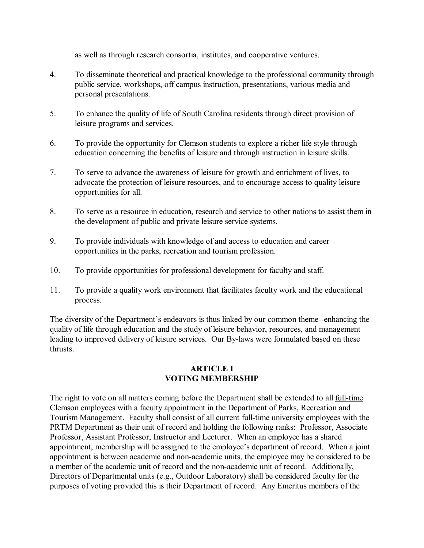as well as through research consortia, institutes, and cooperative ventures.

- 4. To disseminate theoretical and practical knowledge to the professional community through public service, workshops, off campus instruction, presentations, various media and personal presentations.
- 5. To enhance the quality of life of South Carolina residents through direct provision of leisure programs and services.
- 6. To provide the opportunity for Clemson students to explore a richer life style through education concerning the benefits of leisure and through instruction in leisure skills.
- 7. To serve to advance the awareness of leisure for growth and enrichment of lives, to advocate the protection of leisure resources, and to encourage access to quality leisure opportunities for all.
- 8. To serve as a resource in education, research and service to other nations to assist them in the development of public and private leisure service systems.
- 9. To provide individuals with knowledge of and access to education and career opportunities in the parks, recreation and tourism profession.
- 10. To provide opportunities for professional development for faculty and staff.
- 11. To provide a quality work environment that facilitates faculty work and the educational process.

The diversity of the Department's endeavors is thus linked by our common theme--enhancing the quality of life through education and the study of leisure behavior, resources, and management leading to improved delivery of leisure services. Our By-laws were formulated based on these thrusts.

### **ARTICLE I VOTING MEMBERSHIP**

The right to vote on all matters coming before the Department shall be extended to all full-time Clemson employees with a faculty appointment in the Department of Parks, Recreation and Tourism Management. Faculty shall consist of all current full-time university employees with the PRTM Department as their unit of record and holding the following ranks: Professor, Associate Professor, Assistant Professor, Instructor and Lecturer. When an employee has a shared appointment, membership will be assigned to the employee's department of record. When a joint appointment is between academic and non-academic units, the employee may be considered to be a member of the academic unit of record and the non-academic unit of record. Additionally, Directors of Departmental units (e.g., Outdoor Laboratory) shall be considered faculty for the purposes of voting provided this is their Department of record. Any Emeritus members of the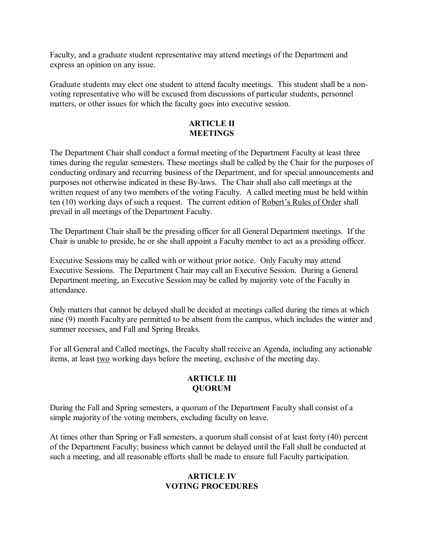Faculty, and a graduate student representative may attend meetings of the Department and express an opinion on any issue.

Graduate students may elect one student to attend faculty meetings. This student shall be a nonvoting representative who will be excused from discussions of particular students, personnel matters, or other issues for which the faculty goes into executive session.

### **ARTICLE II MEETINGS**

The Department Chair shall conduct a formal meeting of the Department Faculty at least three times during the regular semesters. These meetings shall be called by the Chair for the purposes of conducting ordinary and recurring business of the Department, and for special announcements and purposes not otherwise indicated in these By-laws. The Chair shall also call meetings at the written request of any two members of the voting Faculty. A called meeting must be held within ten (10) working days of such a request. The current edition of Robert's Rules of Order shall prevail in all meetings of the Department Faculty.

The Department Chair shall be the presiding officer for all General Department meetings. If the Chair is unable to preside, he or she shall appoint a Faculty member to act as a presiding officer.

Executive Sessions may be called with or without prior notice. Only Faculty may attend Executive Sessions. The Department Chair may call an Executive Session. During a General Department meeting, an Executive Session may be called by majority vote of the Faculty in attendance.

Only matters that cannot be delayed shall be decided at meetings called during the times at which nine (9) month Faculty are permitted to be absent from the campus, which includes the winter and summer recesses, and Fall and Spring Breaks.

For all General and Called meetings, the Faculty shall receive an Agenda, including any actionable items, at least two working days before the meeting, exclusive of the meeting day.

# **ARTICLE III QUORUM**

During the Fall and Spring semesters, a quorum of the Department Faculty shall consist of a simple majority of the voting members, excluding faculty on leave.

At times other than Spring or Fall semesters, a quorum shall consist of at least forty (40) percent of the Department Faculty; business which cannot be delayed until the Fall shall be conducted at such a meeting, and all reasonable efforts shall be made to ensure full Faculty participation.

# **ARTICLE IV VOTING PROCEDURES**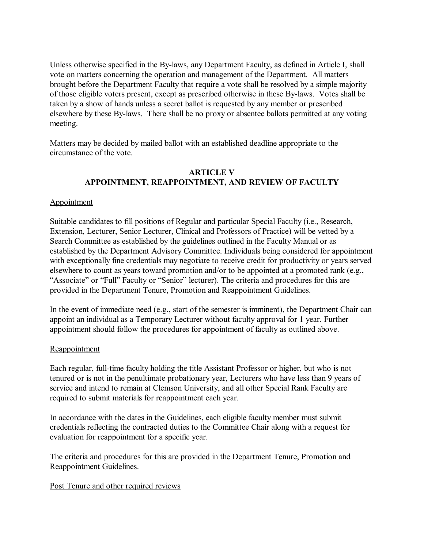Unless otherwise specified in the By-laws, any Department Faculty, as defined in Article I, shall vote on matters concerning the operation and management of the Department. All matters brought before the Department Faculty that require a vote shall be resolved by a simple majority of those eligible voters present, except as prescribed otherwise in these By-laws. Votes shall be taken by a show of hands unless a secret ballot is requested by any member or prescribed elsewhere by these By-laws. There shall be no proxy or absentee ballots permitted at any voting meeting.

Matters may be decided by mailed ballot with an established deadline appropriate to the circumstance of the vote.

# **ARTICLE V APPOINTMENT, REAPPOINTMENT, AND REVIEW OF FACULTY**

## Appointment

Suitable candidates to fill positions of Regular and particular Special Faculty (i.e., Research, Extension, Lecturer, Senior Lecturer, Clinical and Professors of Practice) will be vetted by a Search Committee as established by the guidelines outlined in the Faculty Manual or as established by the Department Advisory Committee. Individuals being considered for appointment with exceptionally fine credentials may negotiate to receive credit for productivity or years served elsewhere to count as years toward promotion and/or to be appointed at a promoted rank (e.g., "Associate" or "Full" Faculty or "Senior" lecturer). The criteria and procedures for this are provided in the Department Tenure, Promotion and Reappointment Guidelines.

In the event of immediate need (e.g., start of the semester is imminent), the Department Chair can appoint an individual as a Temporary Lecturer without faculty approval for 1 year. Further appointment should follow the procedures for appointment of faculty as outlined above.

## Reappointment

Each regular, full-time faculty holding the title Assistant Professor or higher, but who is not tenured or is not in the penultimate probationary year, Lecturers who have less than 9 years of service and intend to remain at Clemson University, and all other Special Rank Faculty are required to submit materials for reappointment each year.

In accordance with the dates in the Guidelines, each eligible faculty member must submit credentials reflecting the contracted duties to the Committee Chair along with a request for evaluation for reappointment for a specific year.

The criteria and procedures for this are provided in the Department Tenure, Promotion and Reappointment Guidelines.

## Post Tenure and other required reviews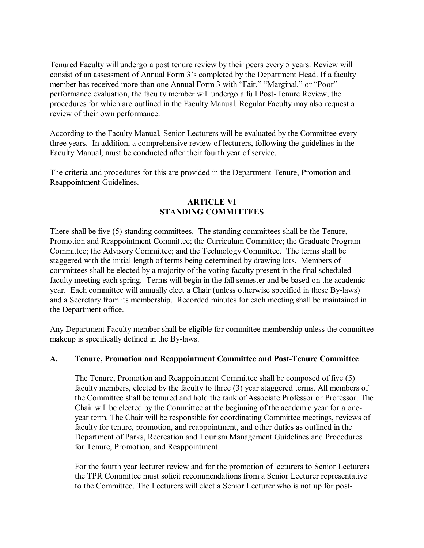Tenured Faculty will undergo a post tenure review by their peers every 5 years. Review will consist of an assessment of Annual Form 3's completed by the Department Head. If a faculty member has received more than one Annual Form 3 with "Fair," "Marginal," or "Poor" performance evaluation, the faculty member will undergo a full Post-Tenure Review, the procedures for which are outlined in the Faculty Manual. Regular Faculty may also request a review of their own performance.

According to the Faculty Manual, Senior Lecturers will be evaluated by the Committee every three years. In addition, a comprehensive review of lecturers, following the guidelines in the Faculty Manual, must be conducted after their fourth year of service.

The criteria and procedures for this are provided in the Department Tenure, Promotion and Reappointment Guidelines.

### **ARTICLE VI STANDING COMMITTEES**

There shall be five (5) standing committees. The standing committees shall be the Tenure, Promotion and Reappointment Committee; the Curriculum Committee; the Graduate Program Committee; the Advisory Committee; and the Technology Committee. The terms shall be staggered with the initial length of terms being determined by drawing lots. Members of committees shall be elected by a majority of the voting faculty present in the final scheduled faculty meeting each spring. Terms will begin in the fall semester and be based on the academic year. Each committee will annually elect a Chair (unless otherwise specified in these By-laws) and a Secretary from its membership. Recorded minutes for each meeting shall be maintained in the Department office.

Any Department Faculty member shall be eligible for committee membership unless the committee makeup is specifically defined in the By-laws.

### **A. Tenure, Promotion and Reappointment Committee and Post-Tenure Committee**

The Tenure, Promotion and Reappointment Committee shall be composed of five (5) faculty members, elected by the faculty to three (3) year staggered terms. All members of the Committee shall be tenured and hold the rank of Associate Professor or Professor. The Chair will be elected by the Committee at the beginning of the academic year for a oneyear term. The Chair will be responsible for coordinating Committee meetings, reviews of faculty for tenure, promotion, and reappointment, and other duties as outlined in the Department of Parks, Recreation and Tourism Management Guidelines and Procedures for Tenure, Promotion, and Reappointment.

For the fourth year lecturer review and for the promotion of lecturers to Senior Lecturers the TPR Committee must solicit recommendations from a Senior Lecturer representative to the Committee. The Lecturers will elect a Senior Lecturer who is not up for post-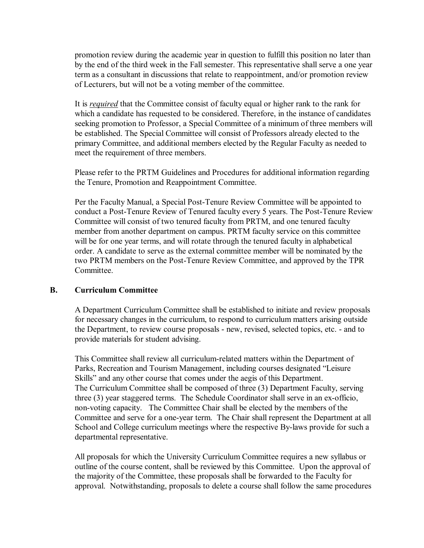promotion review during the academic year in question to fulfill this position no later than by the end of the third week in the Fall semester. This representative shall serve a one year term as a consultant in discussions that relate to reappointment, and/or promotion review of Lecturers, but will not be a voting member of the committee.

It is *required* that the Committee consist of faculty equal or higher rank to the rank for which a candidate has requested to be considered. Therefore, in the instance of candidates seeking promotion to Professor, a Special Committee of a minimum of three members will be established. The Special Committee will consist of Professors already elected to the primary Committee, and additional members elected by the Regular Faculty as needed to meet the requirement of three members.

Please refer to the PRTM Guidelines and Procedures for additional information regarding the Tenure, Promotion and Reappointment Committee.

Per the Faculty Manual, a Special Post-Tenure Review Committee will be appointed to conduct a Post-Tenure Review of Tenured faculty every 5 years. The Post-Tenure Review Committee will consist of two tenured faculty from PRTM, and one tenured faculty member from another department on campus. PRTM faculty service on this committee will be for one year terms, and will rotate through the tenured faculty in alphabetical order. A candidate to serve as the external committee member will be nominated by the two PRTM members on the Post-Tenure Review Committee, and approved by the TPR Committee.

### **B. Curriculum Committee**

A Department Curriculum Committee shall be established to initiate and review proposals for necessary changes in the curriculum, to respond to curriculum matters arising outside the Department, to review course proposals - new, revised, selected topics, etc. - and to provide materials for student advising.

This Committee shall review all curriculum-related matters within the Department of Parks, Recreation and Tourism Management, including courses designated "Leisure Skills" and any other course that comes under the aegis of this Department. The Curriculum Committee shall be composed of three (3) Department Faculty, serving three (3) year staggered terms. The Schedule Coordinator shall serve in an ex-officio, non-voting capacity. The Committee Chair shall be elected by the members of the Committee and serve for a one-year term. The Chair shall represent the Department at all School and College curriculum meetings where the respective By-laws provide for such a departmental representative.

All proposals for which the University Curriculum Committee requires a new syllabus or outline of the course content, shall be reviewed by this Committee. Upon the approval of the majority of the Committee, these proposals shall be forwarded to the Faculty for approval. Notwithstanding, proposals to delete a course shall follow the same procedures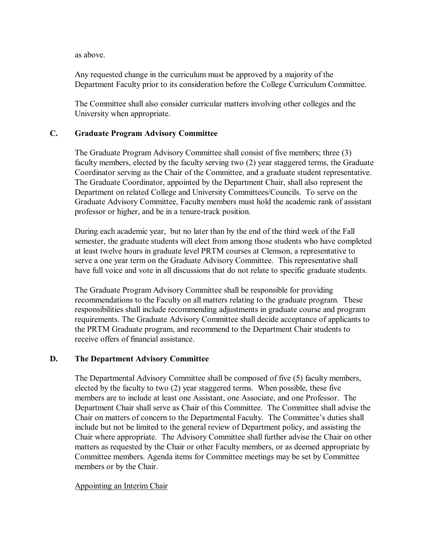#### as above.

Any requested change in the curriculum must be approved by a majority of the Department Faculty prior to its consideration before the College Curriculum Committee.

The Committee shall also consider curricular matters involving other colleges and the University when appropriate.

## **C. Graduate Program Advisory Committee**

The Graduate Program Advisory Committee shall consist of five members; three (3) faculty members, elected by the faculty serving two (2) year staggered terms, the Graduate Coordinator serving as the Chair of the Committee, and a graduate student representative. The Graduate Coordinator, appointed by the Department Chair, shall also represent the Department on related College and University Committees/Councils. To serve on the Graduate Advisory Committee, Faculty members must hold the academic rank of assistant professor or higher, and be in a tenure-track position.

During each academic year, but no later than by the end of the third week of the Fall semester, the graduate students will elect from among those students who have completed at least twelve hours in graduate level PRTM courses at Clemson, a representative to serve a one year term on the Graduate Advisory Committee. This representative shall have full voice and vote in all discussions that do not relate to specific graduate students.

The Graduate Program Advisory Committee shall be responsible for providing recommendations to the Faculty on all matters relating to the graduate program. These responsibilities shall include recommending adjustments in graduate course and program requirements. The Graduate Advisory Committee shall decide acceptance of applicants to the PRTM Graduate program, and recommend to the Department Chair students to receive offers of financial assistance.

### **D. The Department Advisory Committee**

The Departmental Advisory Committee shall be composed of five (5) faculty members, elected by the faculty to two (2) year staggered terms. When possible, these five members are to include at least one Assistant, one Associate, and one Professor. The Department Chair shall serve as Chair of this Committee. The Committee shall advise the Chair on matters of concern to the Departmental Faculty. The Committee's duties shall include but not be limited to the general review of Department policy, and assisting the Chair where appropriate. The Advisory Committee shall further advise the Chair on other matters as requested by the Chair or other Faculty members, or as deemed appropriate by Committee members. Agenda items for Committee meetings may be set by Committee members or by the Chair.

### Appointing an Interim Chair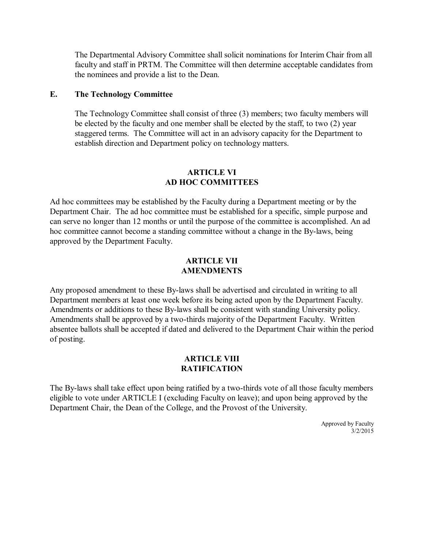The Departmental Advisory Committee shall solicit nominations for Interim Chair from all faculty and staff in PRTM. The Committee will then determine acceptable candidates from the nominees and provide a list to the Dean.

#### **E. The Technology Committee**

The Technology Committee shall consist of three (3) members; two faculty members will be elected by the faculty and one member shall be elected by the staff, to two (2) year staggered terms. The Committee will act in an advisory capacity for the Department to establish direction and Department policy on technology matters.

### **ARTICLE VI AD HOC COMMITTEES**

Ad hoc committees may be established by the Faculty during a Department meeting or by the Department Chair. The ad hoc committee must be established for a specific, simple purpose and can serve no longer than 12 months or until the purpose of the committee is accomplished. An ad hoc committee cannot become a standing committee without a change in the By-laws, being approved by the Department Faculty.

#### **ARTICLE VII AMENDMENTS**

Any proposed amendment to these By-laws shall be advertised and circulated in writing to all Department members at least one week before its being acted upon by the Department Faculty. Amendments or additions to these By-laws shall be consistent with standing University policy. Amendments shall be approved by a two-thirds majority of the Department Faculty. Written absentee ballots shall be accepted if dated and delivered to the Department Chair within the period of posting.

### **ARTICLE VIII RATIFICATION**

The By-laws shall take effect upon being ratified by a two-thirds vote of all those faculty members eligible to vote under ARTICLE I (excluding Faculty on leave); and upon being approved by the Department Chair, the Dean of the College, and the Provost of the University.

> Approved by Faculty 3/2/2015